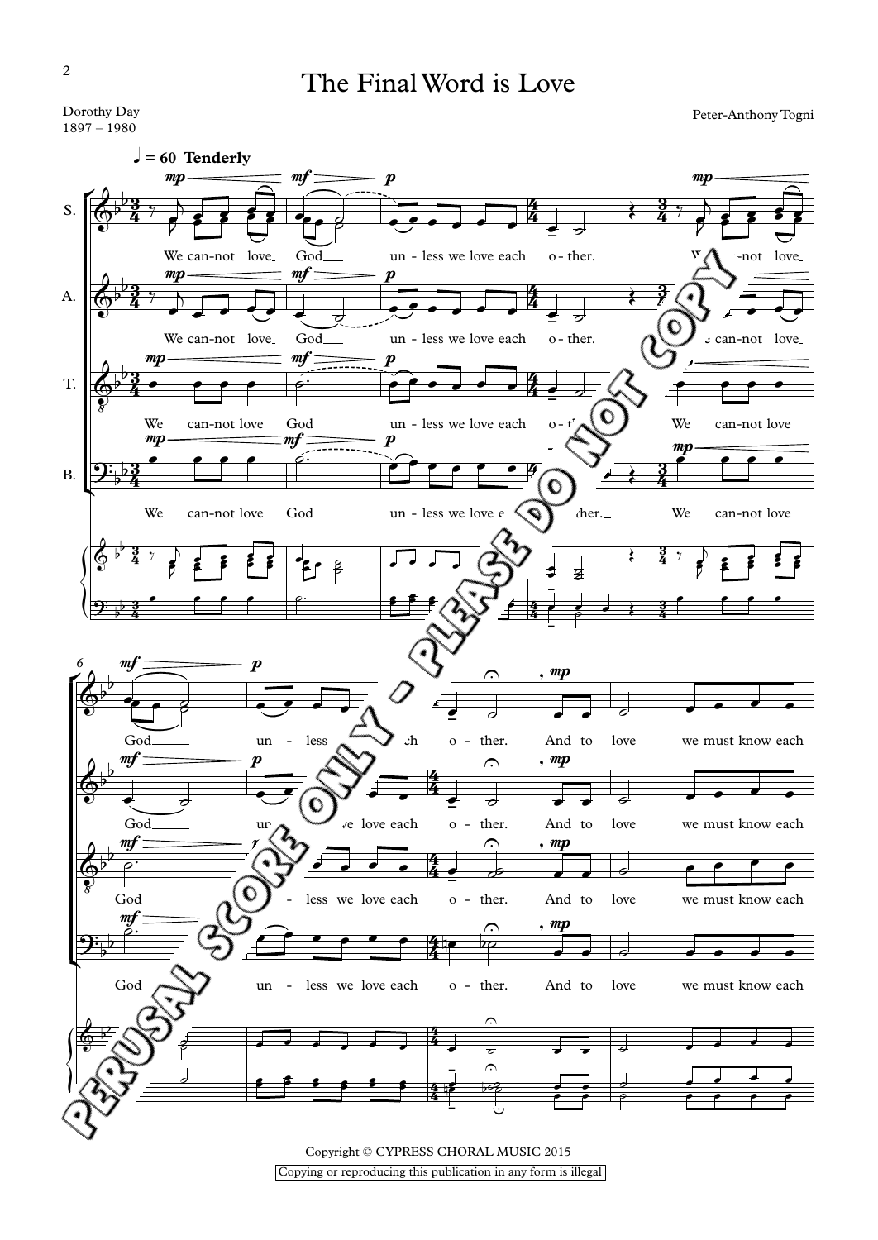The Final Word is Love

Peter-Anthony Togni



Copying or reproducing this publication in any form is illegal

Dorothy Day – <sup>1980</sup>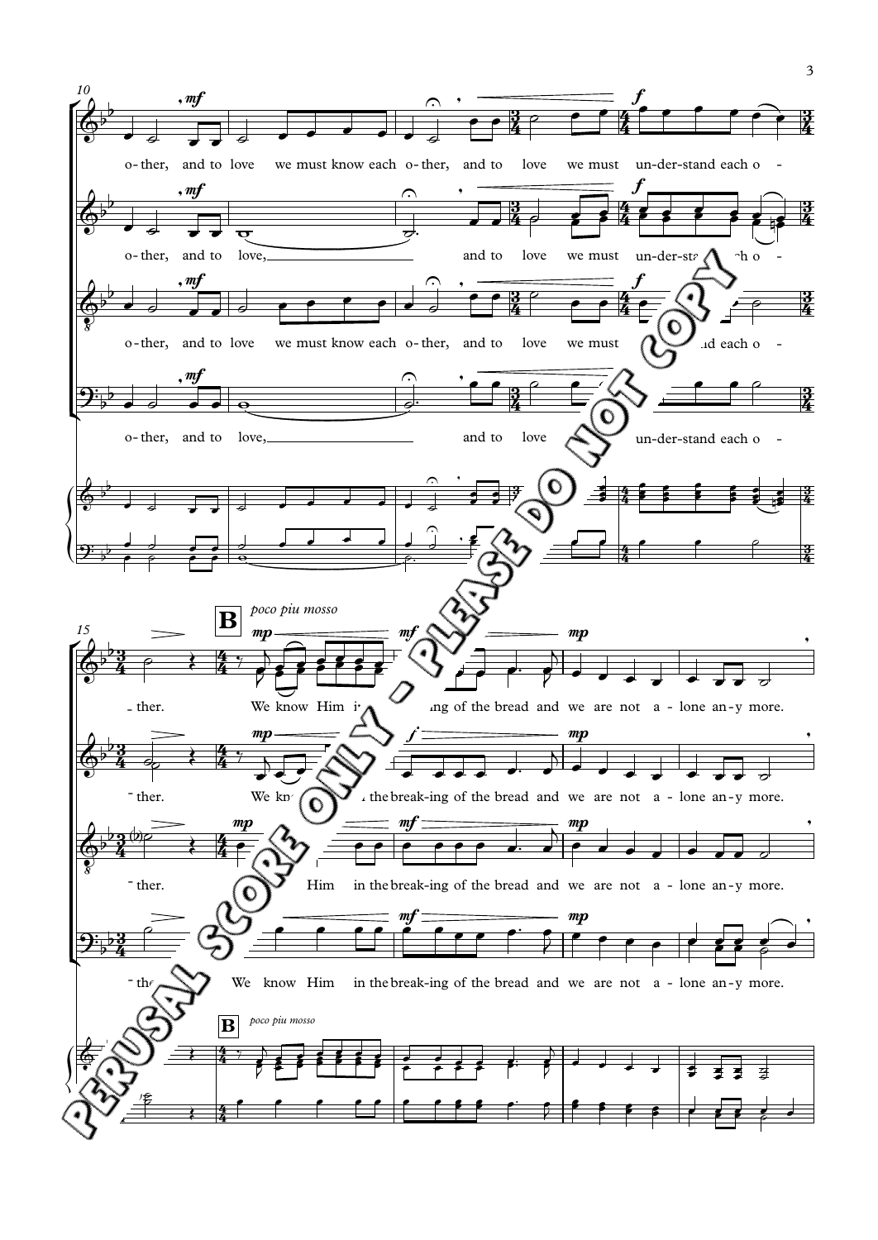